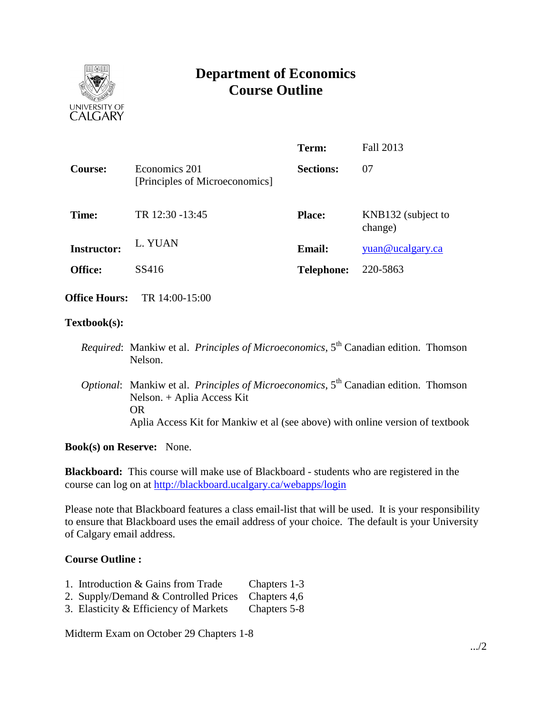

# **Department of Economics Course Outline**

|                                                 | Term:             | Fall 2013                     |
|-------------------------------------------------|-------------------|-------------------------------|
| Economics 201<br>[Principles of Microeconomics] | <b>Sections:</b>  | 07                            |
| TR 12:30 -13:45                                 | <b>Place:</b>     | KNB132 (subject to<br>change) |
| L. YUAN                                         | <b>Email:</b>     | yuan@ucalgary.ca              |
| SS416                                           | <b>Telephone:</b> | 220-5863                      |
|                                                 |                   |                               |

**Office Hours:** TR 14:00-15:00

## **Textbook(s):**

- *Required*: Mankiw et al. *Principles of Microeconomics*, 5 th Canadian edition. Thomson Nelson.
- *Optional*: Mankiw et al. *Principles of Microeconomics*, 5<sup>th</sup> Canadian edition. Thomson Nelson. + Aplia Access Kit OR Aplia Access Kit for Mankiw et al (see above) with online version of textbook

**Book(s) on Reserve:** None.

**Blackboard:** This course will make use of Blackboard - students who are registered in the course can log on at<http://blackboard.ucalgary.ca/webapps/login>

Please note that Blackboard features a class email-list that will be used. It is your responsibility to ensure that Blackboard uses the email address of your choice. The default is your University of Calgary email address.

# **Course Outline :**

- 1. Introduction & Gains from Trade Chapters 1-3
- 2. Supply/Demand & Controlled Prices Chapters 4,6
- 3. Elasticity & Efficiency of Markets Chapters 5-8

Midterm Exam on October 29 Chapters 1-8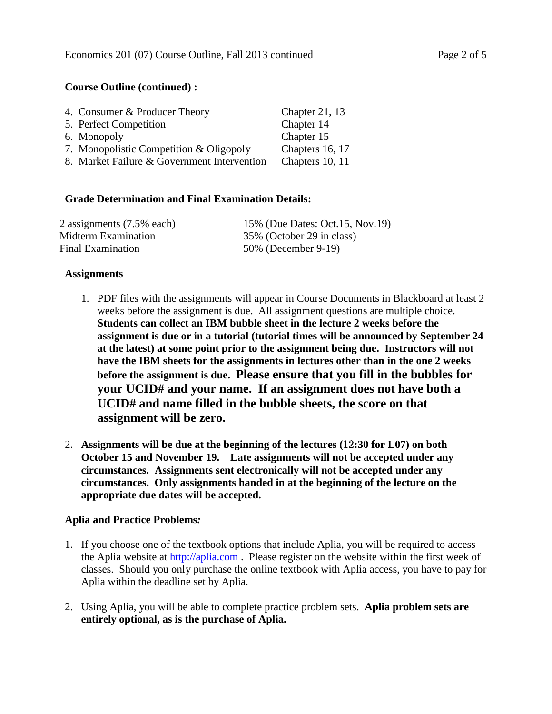## **Course Outline (continued) :**

| 4. Consumer & Producer Theory               | Chapter 21, $13$ |
|---------------------------------------------|------------------|
| 5. Perfect Competition                      | Chapter 14       |
| 6. Monopoly                                 | Chapter 15       |
| 7. Monopolistic Competition & Oligopoly     | Chapters 16, 17  |
| 8. Market Failure & Government Intervention | Chapters 10, 11  |

## **Grade Determination and Final Examination Details:**

| 2 assignments (7.5% each) | 15% (Due Dates: Oct.15, Nov.19) |
|---------------------------|---------------------------------|
| Midterm Examination       | 35% (October 29 in class)       |
| Final Examination         | 50% (December 9-19)             |

#### **Assignments**

- 1. PDF files with the assignments will appear in Course Documents in Blackboard at least 2 weeks before the assignment is due. All assignment questions are multiple choice. **Students can collect an IBM bubble sheet in the lecture 2 weeks before the assignment is due or in a tutorial (tutorial times will be announced by September 24 at the latest) at some point prior to the assignment being due. Instructors will not have the IBM sheets for the assignments in lectures other than in the one 2 weeks before the assignment is due. Please ensure that you fill in the bubbles for your UCID# and your name. If an assignment does not have both a UCID# and name filled in the bubble sheets, the score on that assignment will be zero.**
- 2. **Assignments will be due at the beginning of the lectures (**12**:30 for L07) on both October 15 and November 19. Late assignments will not be accepted under any circumstances. Assignments sent electronically will not be accepted under any circumstances. Only assignments handed in at the beginning of the lecture on the appropriate due dates will be accepted.**

# **Aplia and Practice Problems***:*

- 1. If you choose one of the textbook options that include Aplia, you will be required to access the Aplia website at [http://aplia.com](http://aplia.com/) . Please register on the website within the first week of classes. Should you only purchase the online textbook with Aplia access, you have to pay for Aplia within the deadline set by Aplia.
- 2. Using Aplia, you will be able to complete practice problem sets. **Aplia problem sets are entirely optional, as is the purchase of Aplia.**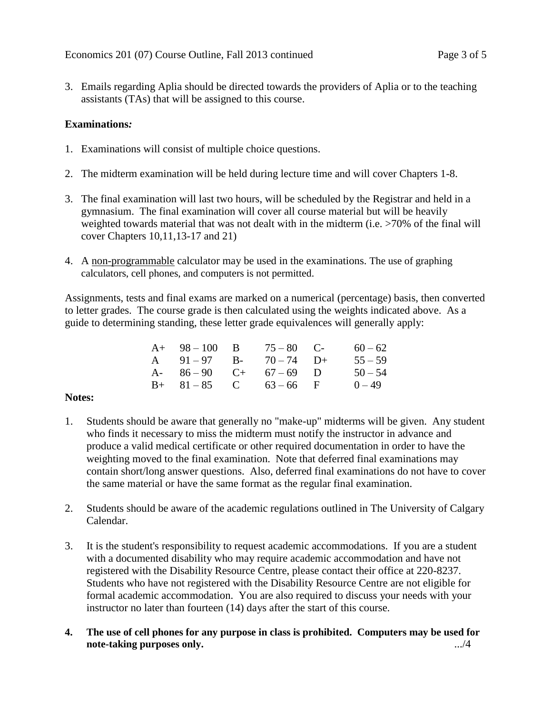3. Emails regarding Aplia should be directed towards the providers of Aplia or to the teaching assistants (TAs) that will be assigned to this course.

## **Examinations***:*

- 1. Examinations will consist of multiple choice questions.
- 2. The midterm examination will be held during lecture time and will cover Chapters 1-8.
- 3. The final examination will last two hours, will be scheduled by the Registrar and held in a gymnasium. The final examination will cover all course material but will be heavily weighted towards material that was not dealt with in the midterm (i.e. >70% of the final will cover Chapters 10,11,13-17 and 21)
- 4. A non-programmable calculator may be used in the examinations. The use of graphing calculators, cell phones, and computers is not permitted.

Assignments, tests and final exams are marked on a numerical (percentage) basis, then converted to letter grades. The course grade is then calculated using the weights indicated above. As a guide to determining standing, these letter grade equivalences will generally apply:

| $60 - 62$ |
|-----------|
| $55 - 59$ |
| $50 - 54$ |
| $0 - 49$  |
|           |

## **Notes:**

- 1. Students should be aware that generally no "make-up" midterms will be given. Any student who finds it necessary to miss the midterm must notify the instructor in advance and produce a valid medical certificate or other required documentation in order to have the weighting moved to the final examination. Note that deferred final examinations may contain short/long answer questions. Also, deferred final examinations do not have to cover the same material or have the same format as the regular final examination.
- 2. Students should be aware of the academic regulations outlined in The University of Calgary Calendar.
- 3. It is the student's responsibility to request academic accommodations. If you are a student with a documented disability who may require academic accommodation and have not registered with the Disability Resource Centre, please contact their office at 220-8237. Students who have not registered with the Disability Resource Centre are not eligible for formal academic accommodation. You are also required to discuss your needs with your instructor no later than fourteen (14) days after the start of this course.
- **4. The use of cell phones for any purpose in class is prohibited. Computers may be used for note-taking purposes only.** .../4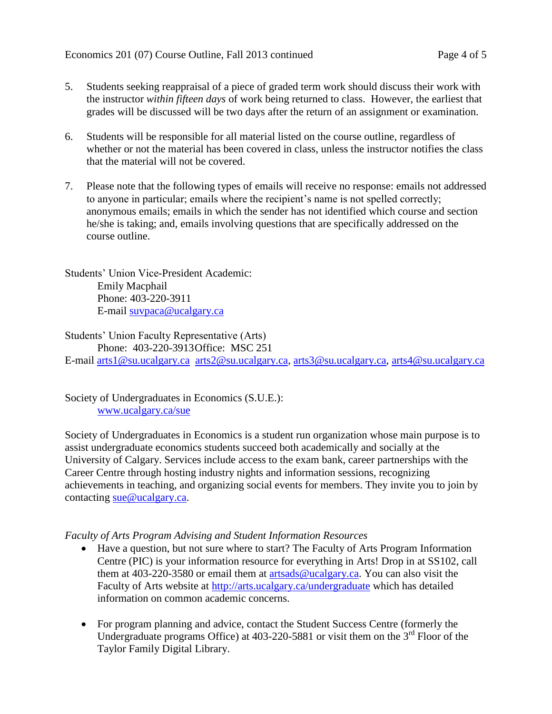- 5. Students seeking reappraisal of a piece of graded term work should discuss their work with the instructor *within fifteen days* of work being returned to class. However, the earliest that grades will be discussed will be two days after the return of an assignment or examination.
- 6. Students will be responsible for all material listed on the course outline, regardless of whether or not the material has been covered in class, unless the instructor notifies the class that the material will not be covered.
- 7. Please note that the following types of emails will receive no response: emails not addressed to anyone in particular; emails where the recipient's name is not spelled correctly; anonymous emails; emails in which the sender has not identified which course and section he/she is taking; and, emails involving questions that are specifically addressed on the course outline.

Students' Union Vice-President Academic: Emily Macphail Phone: 403-220-3911 E-mail [suvpaca@ucalgary.ca](mailto:subpaca@ucalgary.ca)

Students' Union Faculty Representative (Arts) Phone: 403-220-3913Office: MSC 251 E-mail [arts1@su.ucalgary.ca](mailto:arts1@su.ucalgary.ca) [arts2@su.ucalgary.ca,](mailto:arts2@su.ucalgary.ca) [arts3@su.ucalgary.ca,](mailto:arts3@su.ucalgary.ca) [arts4@su.ucalgary.ca](mailto:arts4@su.ucalgary.ca)

Society of Undergraduates in Economics (S.U.E.): [www.ucalgary.ca/sue](http://www.fp.ucalgary.ca/econ)

Society of Undergraduates in Economics is a student run organization whose main purpose is to assist undergraduate economics students succeed both academically and socially at the University of Calgary. Services include access to the exam bank, career partnerships with the Career Centre through hosting industry nights and information sessions, recognizing achievements in teaching, and organizing social events for members. They invite you to join by contacting [sue@ucalgary.ca.](mailto:sue@ucalgary.ca)

# *Faculty of Arts Program Advising and Student Information Resources*

- Have a question, but not sure where to start? The Faculty of Arts Program Information Centre (PIC) is your information resource for everything in Arts! Drop in at SS102, call them at 403-220-3580 or email them at  $artsads@ucalgary.ca.$  You can also visit the Faculty of Arts website at<http://arts.ucalgary.ca/undergraduate> which has detailed information on common academic concerns.
- For program planning and advice, contact the Student Success Centre (formerly the Undergraduate programs Office) at  $403-220-5881$  or visit them on the  $3<sup>rd</sup>$  Floor of the Taylor Family Digital Library.